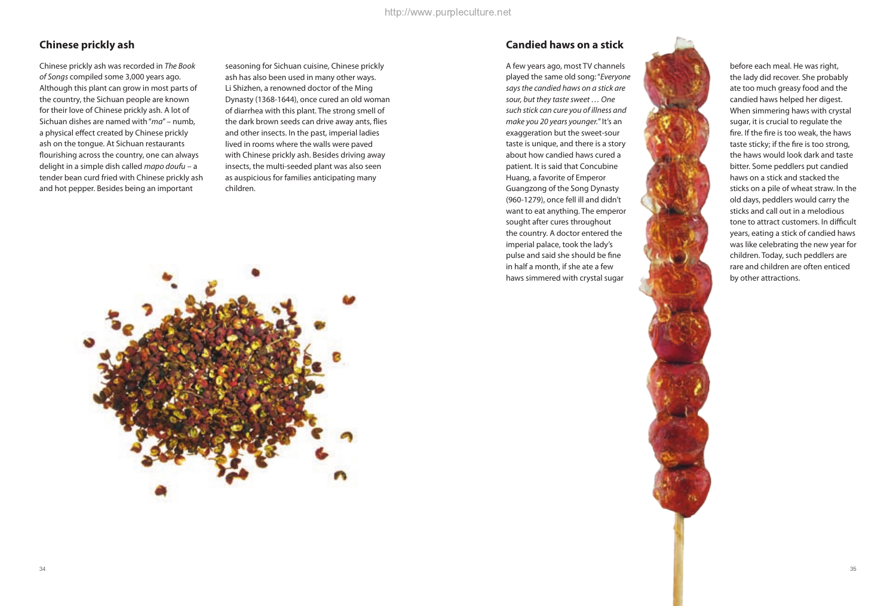## **Chinese prickly ash**

Chinese prickly ash was recorded in *The Book of Songs* compiled some 3,000 years ago. Although this plant can grow in most parts of the country, the Sichuan people are known for their love of Chinese prickly ash. A lot of Sichuan dishes are named with "*ma*" – numb, a physical effect created by Chinese prickly ash on the tongue. At Sichuan restaurants flourishing across the country, one can always delight in a simple dish called *mapo doufu* – a tender bean curd fried with Chinese prickly ash and hot pepper. Besides being an important

seasoning for Sichuan cuisine, Chinese prickly ash has also been used in many other ways. Li Shizhen, a renowned doctor of the Ming Dynasty (1368-1644), once cured an old woman of diarrhea with this plant. The strong smell of the dark brown seeds can drive away ants, flies and other insects. In the past, imperial ladies lived in rooms where the walls were paved with Chinese prickly ash. Besides driving away insects, the multi-seeded plant was also seen as auspicious for families anticipating many children.



### **Candied haws on a stick**

A few years ago, most TV channels played the same old song: "*Everyone says the candied haws on a stick are sour, but they taste sweet … One such stick can cure you of illness and make you 20 years younger.*" It's an exaggeration but the sweet-sour taste is unique, and there is a story about how candied haws cured a patient. It is said that Concubine Huang, a favorite of Emperor Guangzong of the Song Dynasty (960-1279), once fell ill and didn't want to eat anything. The emperor sought after cures throughout the country. A doctor entered the imperial palace, took the lady's pulse and said she should be fine in half a month, if she ate a few haws simmered with crystal sugar



before each meal. He was right, the lady did recover. She probably ate too much greasy food and the candied haws helped her digest. When simmering haws with crystal sugar, it is crucial to regulate the fire. If the fire is too weak, the haws taste sticky; if the fire is too strong, the haws would look dark and taste bitter. Some peddlers put candied haws on a stick and stacked the sticks on a pile of wheat straw. In the old days, peddlers would carry the sticks and call out in a melodious tone to attract customers. In difficult years, eating a stick of candied haws was like celebrating the new year for children. Today, such peddlers are rare and children are often enticed by other attractions.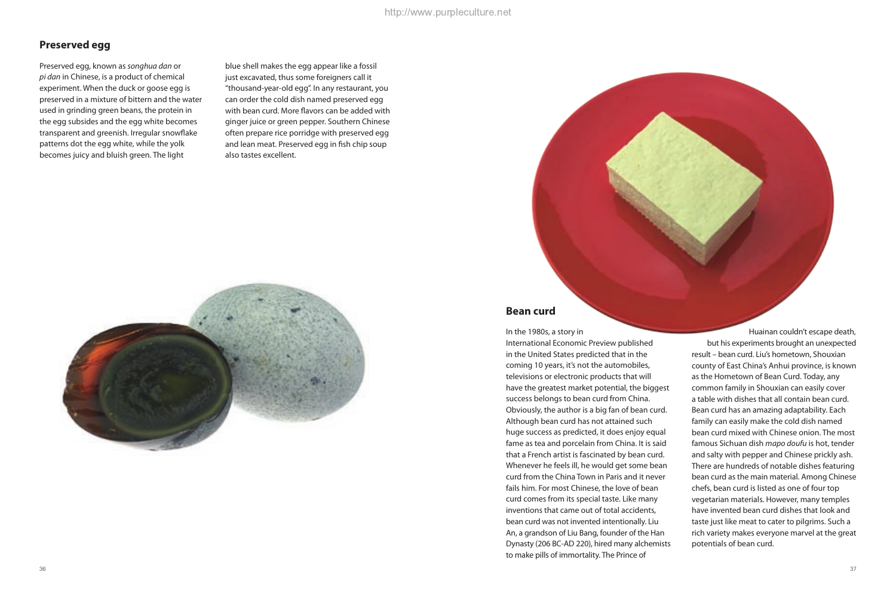## **Preserved egg**

Preserved egg, known as *songhua dan* or *pi dan* in Chinese, is a product of chemical experiment. When the duck or goose egg is preserved in a mixture of bittern and the water used in grinding green beans, the protein in the egg subsides and the egg white becomes transparent and greenish. Irregular snowflake patterns dot the egg white, while the yolk becomes juicy and bluish green. The light

blue shell makes the egg appear like a fossil just excavated, thus some foreigners call it "thousand-year-old egg". In any restaurant, you can order the cold dish named preserved egg with bean curd. More flavors can be added with ginger juice or green pepper. Southern Chinese often prepare rice porridge with preserved egg and lean meat. Preserved egg in fish chip soup also tastes excellent.



### **Bean curd**

In the 1980s, a story in

International Economic Preview published in the United States predicted that in the coming 10 years, it's not the automobiles, televisions or electronic products that will have the greatest market potential, the biggest success belongs to bean curd from China. Obviously, the author is a big fan of bean curd. Although bean curd has not attained such huge success as predicted, it does enjoy equal fame as tea and porcelain from China. It is said that a French artist is fascinated by bean curd. Whenever he feels ill, he would get some bean curd from the China Town in Paris and it never fails him. For most Chinese, the love of bean curd comes from its special taste. Like many inventions that came out of total accidents, bean curd was not invented intentionally. Liu An, a grandson of Liu Bang, founder of the Han Dynasty (206 BC-AD 220), hired many alchemists to make pills of immortality. The Prince of

Huainan couldn't escape death, but his experiments brought an unexpected result – bean curd. Liu's hometown, Shouxian county of East China's Anhui province, is known as the Hometown of Bean Curd. Today, any common family in Shouxian can easily cover a table with dishes that all contain bean curd. Bean curd has an amazing adaptability. Each family can easily make the cold dish named bean curd mixed with Chinese onion. The most famous Sichuan dish *mapo doufu* is hot, tender and salty with pepper and Chinese prickly ash. There are hundreds of notable dishes featuring bean curd as the main material. Among Chinese chefs, bean curd is listed as one of four top vegetarian materials. However, many temples have invented bean curd dishes that look and taste just like meat to cater to pilgrims. Such a rich variety makes everyone marvel at the great potentials of bean curd.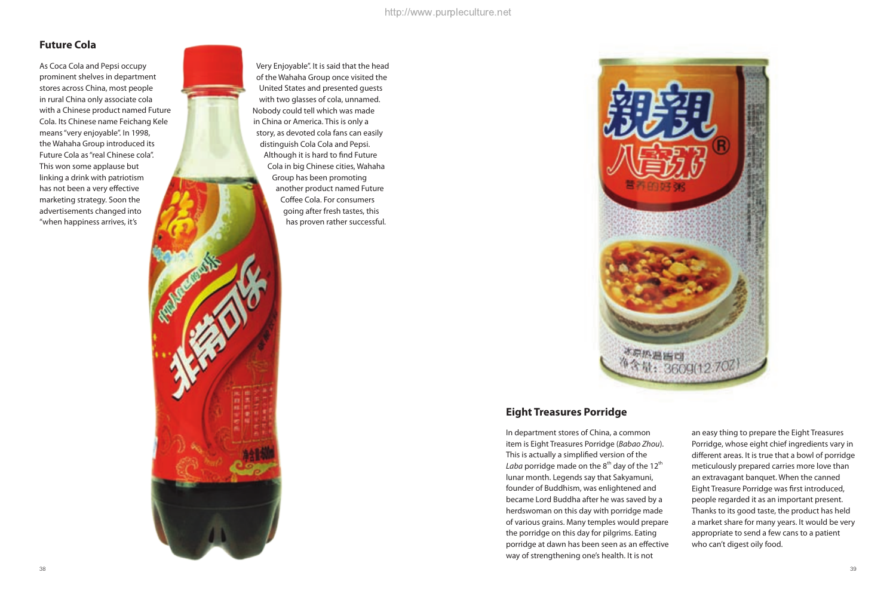# **Future Cola**

As Coca Cola and Pepsi occupy prominent shelves in department stores across China, most people in rural China only associate cola with a Chinese product named Future Cola. Its Chinese name Feichang Kele means "very enjoyable". In 1998, the Wahaha Group introduced its Future Cola as "real Chinese cola". This won some applause but linking a drink with patriotism has not been a very effective marketing strategy. Soon the advertisements changed into "when happiness arrives, it's



Very Enjoyable". It is said that the head of the Wahaha Group once visited the United States and presented guests with two glasses of cola, unnamed. Nobody could tell which was made in China or America. This is only a story, as devoted cola fans can easily distinguish Cola Cola and Pepsi. Although it is hard to find Future Cola in big Chinese cities, Wahaha Group has been promoting another product named Future Coffee Cola. For consumers going after fresh tastes, this has proven rather successful.



# **Eight Treasures Porridge**

In department stores of China, a common item is Eight Treasures Porridge (*Babao Zhou*). This is actually a simplified version of the *Laba* porridge made on the  $8<sup>th</sup>$  day of the 12<sup>th</sup> lunar month. Legends say that Sakyamuni, founder of Buddhism, was enlightened and became Lord Buddha after he was saved by a herdswoman on this day with porridge made of various grains. Many temples would prepare the porridge on this day for pilgrims. Eating porridge at dawn has been seen as an effective way of strengthening one's health. It is not

an easy thing to prepare the Eight Treasures Porridge, whose eight chief ingredients vary in different areas. It is true that a bowl of porridge meticulously prepared carries more love than an extravagant banquet. When the canned Eight Treasure Porridge was first introduced, people regarded it as an important present. Thanks to its good taste, the product has held a market share for many years. It would be very appropriate to send a few cans to a patient who can't digest oily food.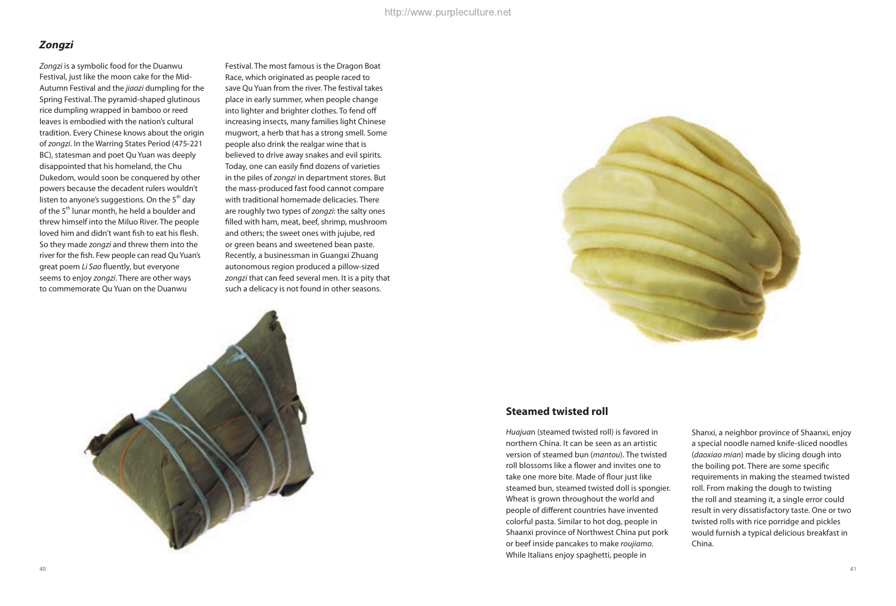## **Zongzi**

*Zongzi* is a symbolic food for the Duanwu Festival, just like the moon cake for the Mid-Autumn Festival and the *jiaozi* dumpling for the Spring Festival. The pyramid-shaped glutinous rice dumpling wrapped in bamboo or reed leaves is embodied with the nation's cultural tradition. Every Chinese knows about the origin of *zongzi*. In the Warring States Period (475-221 BC), statesman and poet Qu Yuan was deeply disappointed that his homeland, the Chu Dukedom, would soon be conquered by other powers because the decadent rulers wouldn't listen to anyone's suggestions. On the  $5<sup>th</sup>$  day of the 5<sup>th</sup> lunar month, he held a boulder and threw himself into the Miluo River. The people loved him and didn't want fish to eat his flesh. So they made *zongzi* and threw them into the river for the fish. Few people can read Qu Yuan's great poem *Li Sao* fluently, but everyone seems to enjoy *zongzi*. There are other ways to commemorate Qu Yuan on the Duanwu

Festival. The most famous is the Dragon Boat Race, which originated as people raced to save Qu Yuan from the river. The festival takes place in early summer, when people change into lighter and brighter clothes. To fend off increasing insects, many families light Chinese mugwort, a herb that has a strong smell. Some people also drink the realgar wine that is believed to drive away snakes and evil spirits. Today, one can easily find dozens of varieties in the piles of *zongzi* in department stores. But the mass-produced fast food cannot compare with traditional homemade delicacies. There are roughly two types of *zongzi*: the salty ones filled with ham, meat, beef, shrimp, mushroom and others; the sweet ones with jujube, red or green beans and sweetened bean paste. Recently, a businessman in Guangxi Zhuang autonomous region produced a pillow-sized *zongzi* that can feed several men. It is a pity that such a delicacy is not found in other seasons.





### **Steamed twisted roll**

*Huajua*n (steamed twisted roll) is favored in northern China. It can be seen as an artistic version of steamed bun (*mantou*). The twisted roll blossoms like a flower and invites one to take one more bite. Made of flour just like steamed bun, steamed twisted doll is spongier. Wheat is grown throughout the world and people of different countries have invented colorful pasta. Similar to hot dog, people in Shaanxi province of Northwest China put pork or beef inside pancakes to make *roujiamo*. While Italians enjoy spaghetti, people in

Shanxi, a neighbor province of Shaanxi, enjoy a special noodle named knife-sliced noodles (*daoxiao mian*) made by slicing dough into the boiling pot. There are some specific requirements in making the steamed twisted roll. From making the dough to twisting the roll and steaming it, a single error could result in very dissatisfactory taste. One or two twisted rolls with rice porridge and pickles would furnish a typical delicious breakfast in China.